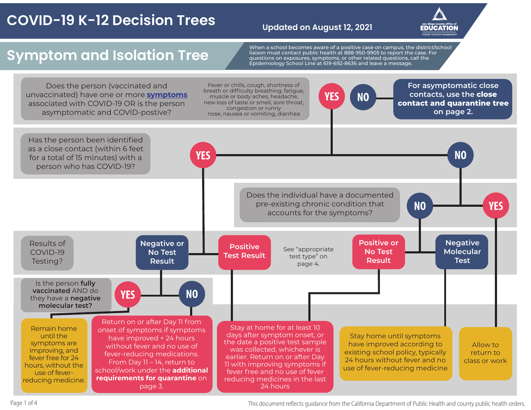## **COVID-19 K-12 Decision Trees**

#### **Updated on August 12, 2021**



## **Symptom and Isolation Tree**

When a school becomes aware of a positive case on campus, the district/school liaison must contact public health at 888-950-9905 to report the case. For questions on exposures, symptoms, or other related questions, call the Epidemiology School Line at 619-692-8636 and leave a message.



Page 1 of 4 and to compute the California Department of Public Health and county public health orders.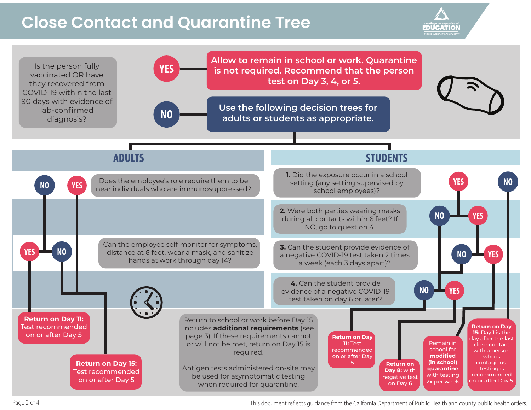## **Close Contact and Quarantine Tree**

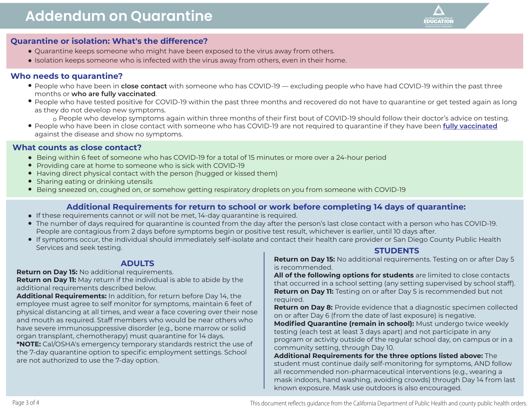

#### **Quarantine or isolation: What's the difference?**

- Quarantine keeps someone who might have been exposed to the virus away from others.
- **Isolation keeps someone who is infected with the virus away from others, even in their home.**

#### **Who needs to quarantine?**

- People who have been in **close contact** with someone who has COVID-19 excluding people who have had COVID-19 within the past three months or **who are fully vaccinated**.
- People who have tested positive for COVID-19 within the past three months and recovered do not have to quarantine or get tested again as long as they do not develop new symptoms.
	- o People who develop symptoms again within three months of their first bout of COVID-19 should follow their doctor's advice on testing.
- People who have been in close contact with someone who has COVID-19 are not required to quarantine if they have been **[fully vaccinated](https://www.cdc.gov/coronavirus/2019-ncov/vaccines/fully-vaccinated.html)** against the disease and show no symptoms.

#### **What counts as close contact?**

- Being within 6 feet of someone who has COVID-19 for a total of 15 minutes or more over a 24-hour period
- Providing care at home to someone who is sick with COVID-19
- Having direct physical contact with the person (hugged or kissed them)
- Sharing eating or drinking utensils
- Being sneezed on, coughed on, or somehow getting respiratory droplets on you from someone with COVID-19

#### **Additional Requirements for return to school or work before completing 14 days of quarantine:**

- If these requirements cannot or will not be met, 14-day quarantine is required.
- The number of days required for quarantine is counted from the day after the person's last close contact with a person who has COVID-19. People are contagious from 2 days before symptoms begin or positive test result, whichever is earlier, until 10 days after.
- If symptoms occur, the individual should immediately self-isolate and contact their health care provider or San Diego County Public Health Services and seek testing. **STUDENTS**

#### **ADULTS**

**Return on Day 15:** No additional requirements.

**Return on Day 11:** May return if the individual is able to abide by the additional requirements described below.

**Additional Requirements:** In addition, for return before Day 14, the employee must agree to self monitor for symptoms, maintain 6 feet of physical distancing at all times, and wear a face covering over their nose and mouth as required. Staff members who would be near others who have severe immunosuppressive disorder (e.g., bone marrow or solid organ transplant, chemotherapy) must quarantine for 14 days. **\*NOTE:** Cal/OSHA's emergency temporary standards restrict the use of the 7-day quarantine option to specific employment settings. School are not authorized to use the 7-day option.

**Return on Day 15:** No additional requirements. Testing on or after Day 5 is recommended.

**All of the following options for students** are limited to close contacts that occurred in a school setting (any setting supervised by school staff). **Return on Day 11:** Testing on or after Day 5 is recommended but not required.

**Return on Day 8:** Provide evidence that a diagnostic specimen collected on or after Day 6 (from the date of last exposure) is negative. **Modified Quarantine (remain in school):** Must undergo twice weekly testing (each test at least 3 days apart) and not participate in any program or activity outside of the regular school day, on campus or in a

community setting, through Day 10. **Additional Requirements for the three options listed above:** The student must continue daily self-monitoring for symptoms, AND follow all recommended non-pharmaceutical interventions (e.g., wearing a mask indoors, hand washing, avoiding crowds) through Day 14 from last known exposure. Mask use outdoors is also encouraged.